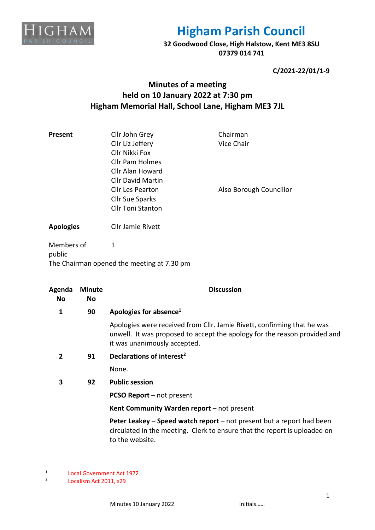

**32 Goodwood Close, High Halstow, Kent ME3 8SU 07379 014 741**

**C/2021-22/01/1-9**

## **Minutes of a meeting held on 10 January 2022 at 7:30 pm Higham Memorial Hall, School Lane, Higham ME3 7JL**

| Present | Cllr John Grey           | Chairman                |
|---------|--------------------------|-------------------------|
|         | Cllr Liz Jeffery         | Vice Chair              |
|         | Cllr Nikki Fox           |                         |
|         | <b>Cllr Pam Holmes</b>   |                         |
|         | Cllr Alan Howard         |                         |
|         | <b>Cllr David Martin</b> |                         |
|         | <b>Cllr Les Pearton</b>  | Also Borough Councillor |
|         | <b>Cllr Sue Sparks</b>   |                         |
|         | <b>Cllr Toni Stanton</b> |                         |
|         |                          |                         |

**Apologies** Cllr Jamie Rivett

Members of public 1 The Chairman opened the meeting at 7.30 pm

| Agenda<br><b>No</b> | <b>Minute</b><br><b>No</b> | <b>Discussion</b>                                                                                                                                                                    |  |
|---------------------|----------------------------|--------------------------------------------------------------------------------------------------------------------------------------------------------------------------------------|--|
| 1                   | 90                         | Apologies for absence <sup>1</sup>                                                                                                                                                   |  |
|                     |                            | Apologies were received from Cllr. Jamie Rivett, confirming that he was<br>unwell. It was proposed to accept the apology for the reason provided and<br>it was unanimously accepted. |  |
| $\overline{2}$      | 91                         | Declarations of interest <sup>2</sup>                                                                                                                                                |  |
|                     |                            | None.                                                                                                                                                                                |  |
| 3                   | 92                         | <b>Public session</b>                                                                                                                                                                |  |
|                     |                            | <b>PCSO Report</b> – not present                                                                                                                                                     |  |
|                     |                            | Kent Community Warden report - not present                                                                                                                                           |  |
|                     |                            | Peter Leakey – Speed watch report – not present but a report had been<br>circulated in the meeting. Clerk to ensure that the report is uploaded on<br>to the website.                |  |

<sup>1</sup> Local Government Act 1972

<sup>2</sup> Localism Act 2011, s29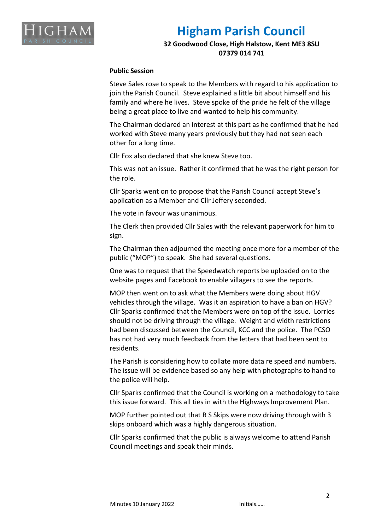

**32 Goodwood Close, High Halstow, Kent ME3 8SU 07379 014 741**

#### **Public Session**

Steve Sales rose to speak to the Members with regard to his application to join the Parish Council. Steve explained a little bit about himself and his family and where he lives. Steve spoke of the pride he felt of the village being a great place to live and wanted to help his community.

The Chairman declared an interest at this part as he confirmed that he had worked with Steve many years previously but they had not seen each other for a long time.

Cllr Fox also declared that she knew Steve too.

This was not an issue. Rather it confirmed that he was the right person for the role.

Cllr Sparks went on to propose that the Parish Council accept Steve's application as a Member and Cllr Jeffery seconded.

The vote in favour was unanimous.

The Clerk then provided Cllr Sales with the relevant paperwork for him to sign.

The Chairman then adjourned the meeting once more for a member of the public ("MOP") to speak. She had several questions.

One was to request that the Speedwatch reports be uploaded on to the website pages and Facebook to enable villagers to see the reports.

MOP then went on to ask what the Members were doing about HGV vehicles through the village. Was it an aspiration to have a ban on HGV? Cllr Sparks confirmed that the Members were on top of the issue. Lorries should not be driving through the village. Weight and width restrictions had been discussed between the Council, KCC and the police. The PCSO has not had very much feedback from the letters that had been sent to residents.

The Parish is considering how to collate more data re speed and numbers. The issue will be evidence based so any help with photographs to hand to the police will help.

Cllr Sparks confirmed that the Council is working on a methodology to take this issue forward. This all ties in with the Highways Improvement Plan.

MOP further pointed out that R S Skips were now driving through with 3 skips onboard which was a highly dangerous situation.

Cllr Sparks confirmed that the public is always welcome to attend Parish Council meetings and speak their minds.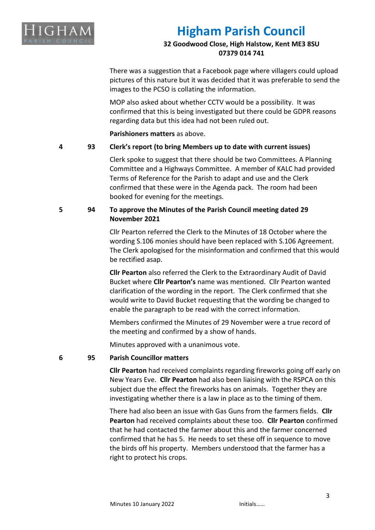

## **32 Goodwood Close, High Halstow, Kent ME3 8SU 07379 014 741**

There was a suggestion that a Facebook page where villagers could upload pictures of this nature but it was decided that it was preferable to send the images to the PCSO is collating the information.

MOP also asked about whether CCTV would be a possibility. It was confirmed that this is being investigated but there could be GDPR reasons regarding data but this idea had not been ruled out.

**Parishioners matters** as above.

## **4 93 Clerk's report (to bring Members up to date with current issues)**

Clerk spoke to suggest that there should be two Committees. A Planning Committee and a Highways Committee. A member of KALC had provided Terms of Reference for the Parish to adapt and use and the Clerk confirmed that these were in the Agenda pack. The room had been booked for evening for the meetings.

## **5 94 To approve the Minutes of the Parish Council meeting dated 29 November 2021**

Cllr Pearton referred the Clerk to the Minutes of 18 October where the wording S.106 monies should have been replaced with S.106 Agreement. The Clerk apologised for the misinformation and confirmed that this would be rectified asap.

**Cllr Pearton** also referred the Clerk to the Extraordinary Audit of David Bucket where **Cllr Pearton's** name was mentioned. Cllr Pearton wanted clarification of the wording in the report. The Clerk confirmed that she would write to David Bucket requesting that the wording be changed to enable the paragraph to be read with the correct information.

Members confirmed the Minutes of 29 November were a true record of the meeting and confirmed by a show of hands.

Minutes approved with a unanimous vote.

### **6 95 Parish Councillor matters**

**Cllr Pearton** had received complaints regarding fireworks going off early on New Years Eve. **Cllr Pearton** had also been liaising with the RSPCA on this subject due the effect the fireworks has on animals. Together they are investigating whether there is a law in place as to the timing of them.

There had also been an issue with Gas Guns from the farmers fields. **Cllr Pearton** had received complaints about these too. **Cllr Pearton** confirmed that he had contacted the farmer about this and the farmer concerned confirmed that he has 5. He needs to set these off in sequence to move the birds off his property. Members understood that the farmer has a right to protect his crops.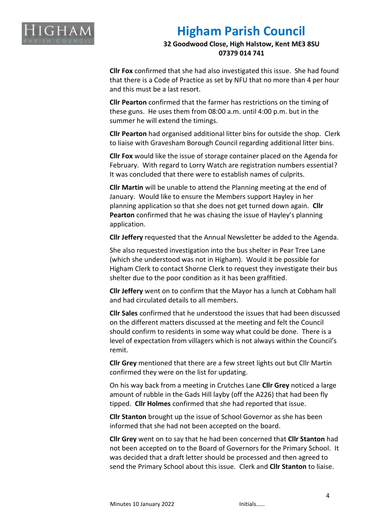

**32 Goodwood Close, High Halstow, Kent ME3 8SU 07379 014 741**

**Cllr Fox** confirmed that she had also investigated this issue. She had found that there is a Code of Practice as set by NFU that no more than 4 per hour and this must be a last resort.

**Cllr Pearton** confirmed that the farmer has restrictions on the timing of these guns. He uses them from 08:00 a.m. until 4:00 p.m. but in the summer he will extend the timings.

**Cllr Pearton** had organised additional litter bins for outside the shop. Clerk to liaise with Gravesham Borough Council regarding additional litter bins.

**Cllr Fox** would like the issue of storage container placed on the Agenda for February. With regard to Lorry Watch are registration numbers essential? It was concluded that there were to establish names of culprits.

**Cllr Martin** will be unable to attend the Planning meeting at the end of January. Would like to ensure the Members support Hayley in her planning application so that she does not get turned down again. **Cllr Pearton** confirmed that he was chasing the issue of Hayley's planning application.

**Cllr Jeffery** requested that the Annual Newsletter be added to the Agenda.

She also requested investigation into the bus shelter in Pear Tree Lane (which she understood was not in Higham). Would it be possible for Higham Clerk to contact Shorne Clerk to request they investigate their bus shelter due to the poor condition as it has been graffitied.

**Cllr Jeffery** went on to confirm that the Mayor has a lunch at Cobham hall and had circulated details to all members.

**Cllr Sales** confirmed that he understood the issues that had been discussed on the different matters discussed at the meeting and felt the Council should confirm to residents in some way what could be done. There is a level of expectation from villagers which is not always within the Council's remit.

**Cllr Grey** mentioned that there are a few street lights out but Cllr Martin confirmed they were on the list for updating.

On his way back from a meeting in Crutches Lane **Cllr Grey** noticed a large amount of rubble in the Gads Hill layby (off the A226) that had been fly tipped. **Cllr Holmes** confirmed that she had reported that issue.

**Cllr Stanton** brought up the issue of School Governor as she has been informed that she had not been accepted on the board.

**Cllr Grey** went on to say that he had been concerned that **Cllr Stanton** had not been accepted on to the Board of Governors for the Primary School. It was decided that a draft letter should be processed and then agreed to send the Primary School about this issue. Clerk and **Cllr Stanton** to liaise.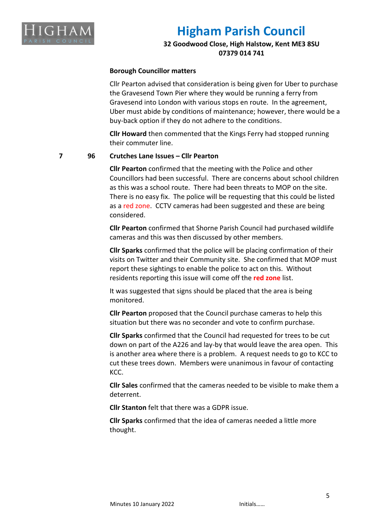

## **32 Goodwood Close, High Halstow, Kent ME3 8SU 07379 014 741**

#### **Borough Councillor matters**

Cllr Pearton advised that consideration is being given for Uber to purchase the Gravesend Town Pier where they would be running a ferry from Gravesend into London with various stops en route. In the agreement, Uber must abide by conditions of maintenance; however, there would be a buy-back option if they do not adhere to the conditions.

**Cllr Howard** then commented that the Kings Ferry had stopped running their commuter line.

#### **7 96 Crutches Lane Issues – Cllr Pearton**

**Cllr Pearton** confirmed that the meeting with the Police and other Councillors had been successful. There are concerns about school children as this was a school route. There had been threats to MOP on the site. There is no easy fix. The police will be requesting that this could be listed as a red zone. CCTV cameras had been suggested and these are being considered.

**Cllr Pearton** confirmed that Shorne Parish Council had purchased wildlife cameras and this was then discussed by other members.

**Cllr Sparks** confirmed that the police will be placing confirmation of their visits on Twitter and their Community site. She confirmed that MOP must report these sightings to enable the police to act on this. Without residents reporting this issue will come off the **red zone** list.

It was suggested that signs should be placed that the area is being monitored.

**Cllr Pearton** proposed that the Council purchase cameras to help this situation but there was no seconder and vote to confirm purchase.

**Cllr Sparks** confirmed that the Council had requested for trees to be cut down on part of the A226 and lay-by that would leave the area open. This is another area where there is a problem. A request needs to go to KCC to cut these trees down. Members were unanimous in favour of contacting KCC.

**Cllr Sales** confirmed that the cameras needed to be visible to make them a deterrent.

**Cllr Stanton** felt that there was a GDPR issue.

**Cllr Sparks** confirmed that the idea of cameras needed a little more thought.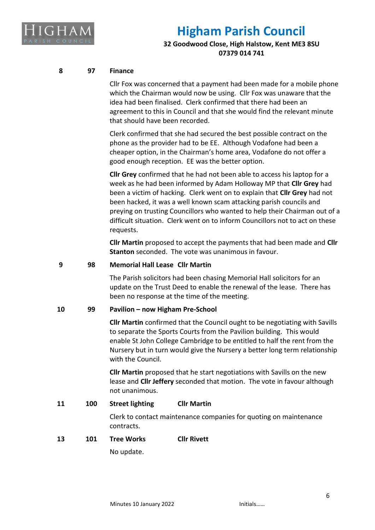

## **32 Goodwood Close, High Halstow, Kent ME3 8SU 07379 014 741**

## **8 97 Finance**

Cllr Fox was concerned that a payment had been made for a mobile phone which the Chairman would now be using. Cllr Fox was unaware that the idea had been finalised. Clerk confirmed that there had been an agreement to this in Council and that she would find the relevant minute that should have been recorded.

Clerk confirmed that she had secured the best possible contract on the phone as the provider had to be EE. Although Vodafone had been a cheaper option, in the Chairman's home area, Vodafone do not offer a good enough reception. EE was the better option.

**Cllr Grey** confirmed that he had not been able to access his laptop for a week as he had been informed by Adam Holloway MP that **Cllr Grey** had been a victim of hacking. Clerk went on to explain that **Cllr Grey** had not been hacked, it was a well known scam attacking parish councils and preying on trusting Councillors who wanted to help their Chairman out of a difficult situation. Clerk went on to inform Councillors not to act on these requests.

**Cllr Martin** proposed to accept the payments that had been made and **Cllr Stanton** seconded. The vote was unanimous in favour.

### **9 98 Memorial Hall Lease Cllr Martin**

The Parish solicitors had been chasing Memorial Hall solicitors for an update on the Trust Deed to enable the renewal of the lease. There has been no response at the time of the meeting.

### **10 99 Pavilion – now Higham Pre-School**

**Cllr Martin** confirmed that the Council ought to be negotiating with Savills to separate the Sports Courts from the Pavilion building. This would enable St John College Cambridge to be entitled to half the rent from the Nursery but in turn would give the Nursery a better long term relationship with the Council.

**Cllr Martin** proposed that he start negotiations with Savills on the new lease and **Cllr Jeffery** seconded that motion. The vote in favour although not unanimous.

## **11 100 Street lighting Cllr Martin**

Clerk to contact maintenance companies for quoting on maintenance contracts.

### **13 101 Tree Works Cllr Rivett**

No update.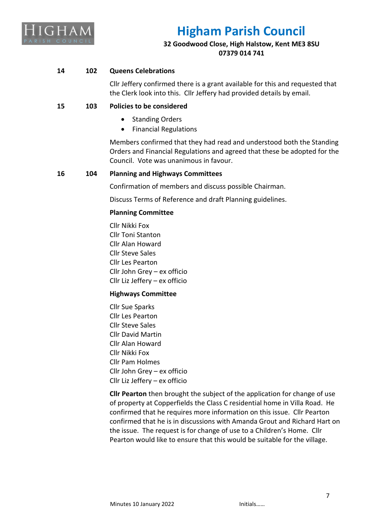

## **32 Goodwood Close, High Halstow, Kent ME3 8SU 07379 014 741**

## **14 102 Queens Celebrations**

Cllr Jeffery confirmed there is a grant available for this and requested that the Clerk look into this. Cllr Jeffery had provided details by email.

## **15 103 Policies to be considered**

- Standing Orders
- Financial Regulations

Members confirmed that they had read and understood both the Standing Orders and Financial Regulations and agreed that these be adopted for the Council. Vote was unanimous in favour.

### **16 104 Planning and Highways Committees**

Confirmation of members and discuss possible Chairman.

Discuss Terms of Reference and draft Planning guidelines.

### **Planning Committee**

Cllr Nikki Fox Cllr Toni Stanton Cllr Alan Howard Cllr Steve Sales Cllr Les Pearton Cllr John Grey – ex officio Cllr Liz Jeffery – ex officio

### **Highways Committee**

Cllr Sue Sparks Cllr Les Pearton Cllr Steve Sales Cllr David Martin Cllr Alan Howard Cllr Nikki Fox Cllr Pam Holmes Cllr John Grey – ex officio Cllr Liz Jeffery – ex officio

**Cllr Pearton** then brought the subject of the application for change of use of property at Copperfields the Class C residential home in Villa Road. He confirmed that he requires more information on this issue. Cllr Pearton confirmed that he is in discussions with Amanda Grout and Richard Hart on the issue. The request is for change of use to a Children's Home. Cllr Pearton would like to ensure that this would be suitable for the village.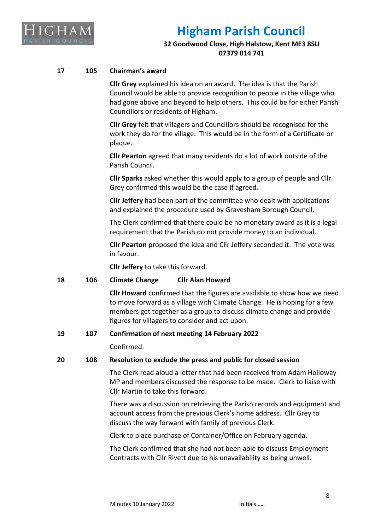

## **32 Goodwood Close, High Halstow, Kent ME3 8SU 07379 014 741**

### **17 105 Chairman's award**

**Cllr Grey** explained his idea on an award. The idea is that the Parish Council would be able to provide recognition to people in the village who had gone above and beyond to help others. This could be for either Parish Councillors or residents of Higham.

**Cllr Grey** felt that villagers and Councillors should be recognised for the work they do for the village. This would be in the form of a Certificate or plaque.

**Cllr Pearton** agreed that many residents do a lot of work outside of the Parish Council.

**Cllr Sparks** asked whether this would apply to a group of people and Cllr Grey confirmed this would be the case if agreed.

**Cllr Jeffery** had been part of the committee who dealt with applications and explained the procedure used by Gravesham Borough Council.

The Clerk confirmed that there could be no monetary award as it is a legal requirement that the Parish do not provide money to an individual.

**Cllr Pearton** proposed the idea and Cllr Jeffery seconded it. The vote was in favour.

**Cllr Jeffery** to take this forward.

#### **18 106 Climate Change Cllr Alan Howard**

**Cllr Howard** confirmed that the figures are available to show how we need to move forward as a village with Climate Change. He is hoping for a few members get together as a group to discuss climate change and provide figures for villagers to consider and act upon.

#### **19 107 Confirmation of next meeting 14 February 2022**

Confirmed.

#### **20 108 Resolution to exclude the press and public for closed session**

The Clerk read aloud a letter that had been received from Adam Holloway MP and members discussed the response to be made. Clerk to liaise with Cllr Martin to take this forward.

There was a discussion on retrieving the Parish records and equipment and account access from the previous Clerk's home address. Cllr Grey to discuss the way forward with family of previous Clerk.

Clerk to place purchase of Container/Office on February agenda.

The Clerk confirmed that she had not been able to discuss Employment Contracts with Cllr Rivett due to his unavailability as being unwell.